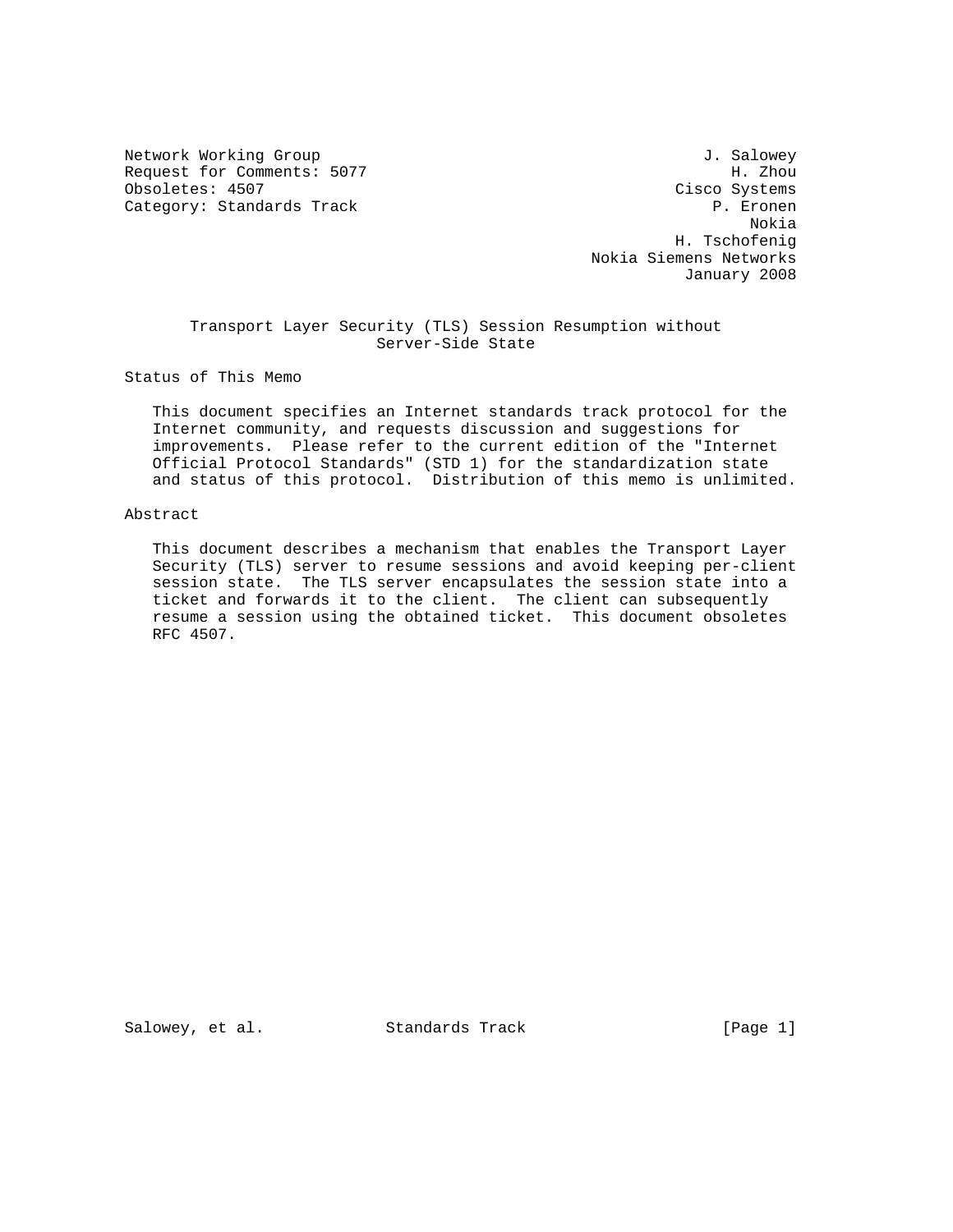Network Working Group 30 and 1. Salowey Request for Comments: 5077 H. Zhou Obsoletes: 4507 Cisco Systems Category: Standards Track P. Experience P. Experience P. Experience P. Experience P. Experience P. Experience

 Nokia H. Tschofenig Nokia Siemens Networks January 2008

# Transport Layer Security (TLS) Session Resumption without Server-Side State

Status of This Memo

 This document specifies an Internet standards track protocol for the Internet community, and requests discussion and suggestions for improvements. Please refer to the current edition of the "Internet Official Protocol Standards" (STD 1) for the standardization state and status of this protocol. Distribution of this memo is unlimited.

#### Abstract

 This document describes a mechanism that enables the Transport Layer Security (TLS) server to resume sessions and avoid keeping per-client session state. The TLS server encapsulates the session state into a ticket and forwards it to the client. The client can subsequently resume a session using the obtained ticket. This document obsoletes RFC 4507.

Salowey, et al. Standards Track [Page 1]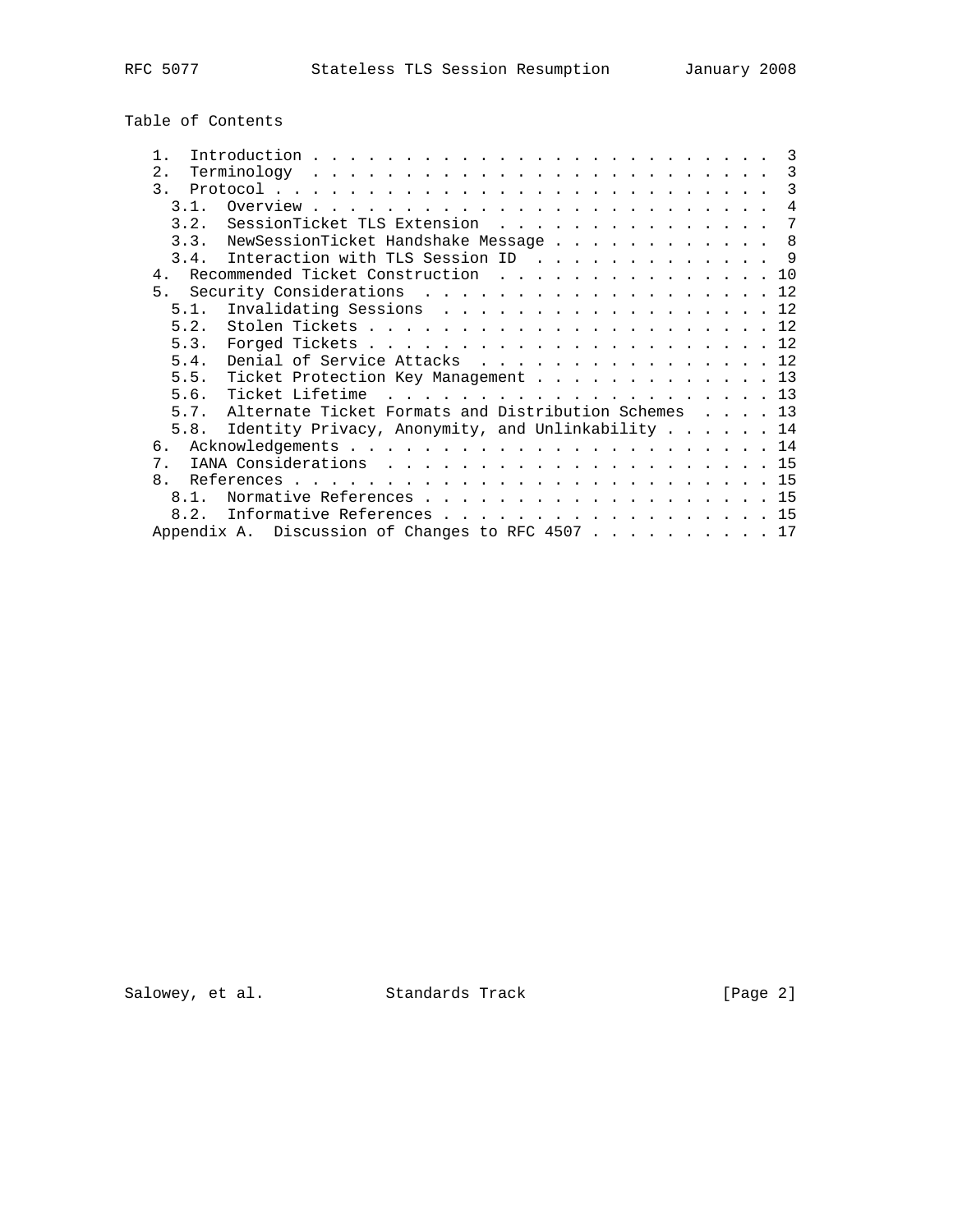Table of Contents

| Introduction $\cdots$ , $\cdots$ , $\cdots$ , $\cdots$ , $\cdots$ , $\cdots$ , $\cdots$ , $\cdots$ , $\cdots$ , $\cdots$ |  |  | $\overline{\phantom{a}3}$  |
|--------------------------------------------------------------------------------------------------------------------------|--|--|----------------------------|
| 2.                                                                                                                       |  |  | $\overline{\phantom{a}}$ 3 |
| $\mathcal{R}$                                                                                                            |  |  | 3                          |
| 3 1                                                                                                                      |  |  | $\overline{4}$             |
| SessionTicket TLS Extension<br>3.2.                                                                                      |  |  | $\overline{7}$             |
| 3.3. NewSessionTicket Handshake Message 8                                                                                |  |  |                            |
| 3.4. Interaction with TLS Session ID 9                                                                                   |  |  |                            |
| Recommended Ticket Construction 10<br>4 <sub>1</sub>                                                                     |  |  |                            |
| 5. Security Considerations 12                                                                                            |  |  |                            |
| Invalidating Sessions 12<br>5.1.                                                                                         |  |  |                            |
|                                                                                                                          |  |  |                            |
| 5.3.                                                                                                                     |  |  |                            |
| Denial of Service Attacks 12<br>5.4.                                                                                     |  |  |                            |
| Ticket Protection Key Management 13<br>5.5.                                                                              |  |  |                            |
| 5.6.                                                                                                                     |  |  |                            |
| Alternate Ticket Formats and Distribution Schemes 13<br>5.7.                                                             |  |  |                            |
| 5.8. Identity Privacy, Anonymity, and Unlinkability 14                                                                   |  |  |                            |
| б.                                                                                                                       |  |  |                            |
| $7$ .                                                                                                                    |  |  |                            |
| $\mathsf{R}$                                                                                                             |  |  |                            |
| Normative References 15<br>81                                                                                            |  |  |                            |
| Informative References 15<br>8.2.                                                                                        |  |  |                            |
| Appendix A. Discussion of Changes to RFC 4507 17                                                                         |  |  |                            |

Salowey, et al. Standards Track [Page 2]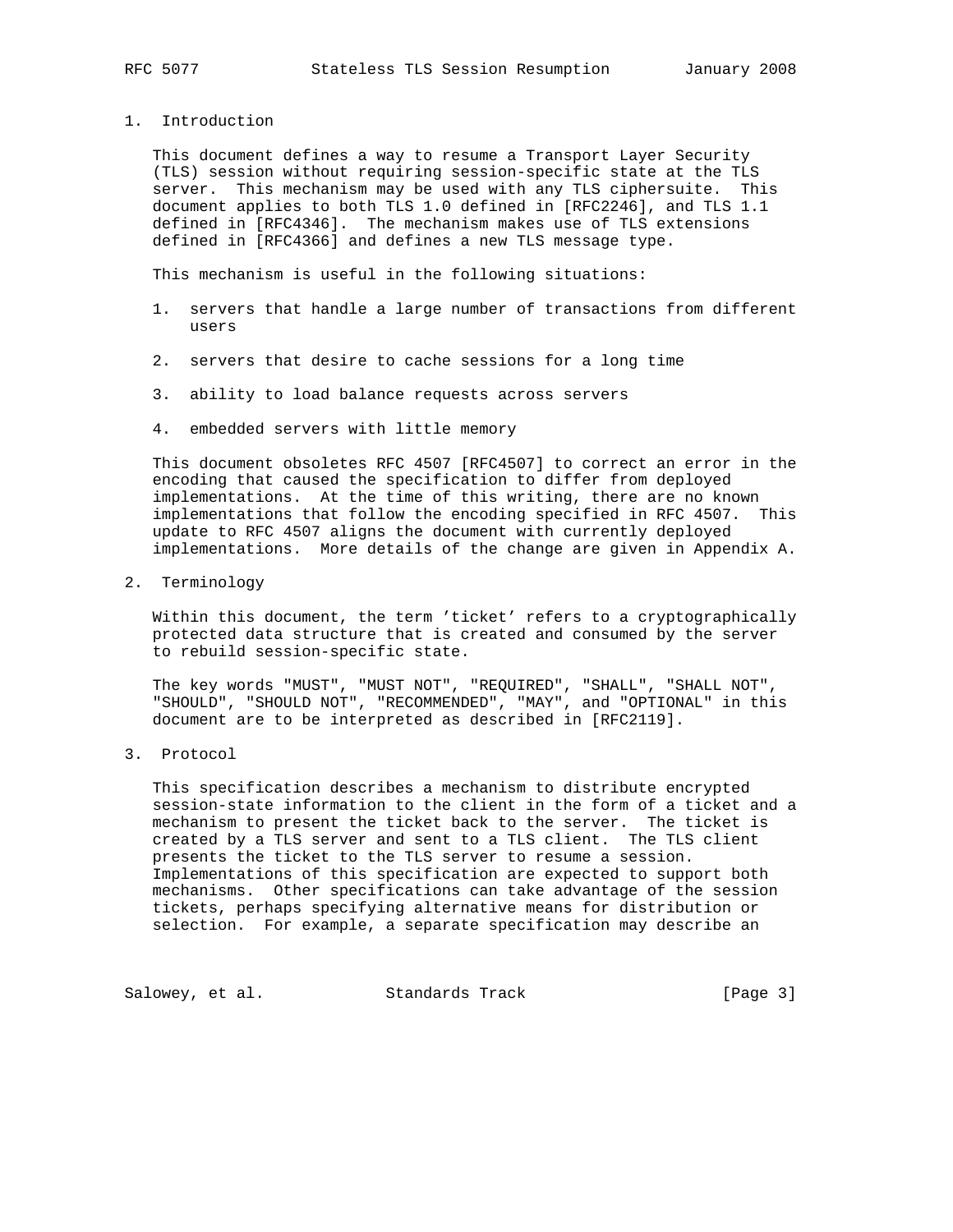1. Introduction

 This document defines a way to resume a Transport Layer Security (TLS) session without requiring session-specific state at the TLS server. This mechanism may be used with any TLS ciphersuite. This document applies to both TLS 1.0 defined in [RFC2246], and TLS 1.1 defined in [RFC4346]. The mechanism makes use of TLS extensions defined in [RFC4366] and defines a new TLS message type.

This mechanism is useful in the following situations:

- 1. servers that handle a large number of transactions from different users
- 2. servers that desire to cache sessions for a long time
- 3. ability to load balance requests across servers
- 4. embedded servers with little memory

 This document obsoletes RFC 4507 [RFC4507] to correct an error in the encoding that caused the specification to differ from deployed implementations. At the time of this writing, there are no known implementations that follow the encoding specified in RFC 4507. This update to RFC 4507 aligns the document with currently deployed implementations. More details of the change are given in Appendix A.

2. Terminology

 Within this document, the term 'ticket' refers to a cryptographically protected data structure that is created and consumed by the server to rebuild session-specific state.

 The key words "MUST", "MUST NOT", "REQUIRED", "SHALL", "SHALL NOT", "SHOULD", "SHOULD NOT", "RECOMMENDED", "MAY", and "OPTIONAL" in this document are to be interpreted as described in [RFC2119].

3. Protocol

 This specification describes a mechanism to distribute encrypted session-state information to the client in the form of a ticket and a mechanism to present the ticket back to the server. The ticket is created by a TLS server and sent to a TLS client. The TLS client presents the ticket to the TLS server to resume a session. Implementations of this specification are expected to support both mechanisms. Other specifications can take advantage of the session tickets, perhaps specifying alternative means for distribution or selection. For example, a separate specification may describe an

Salowey, et al. Standards Track [Page 3]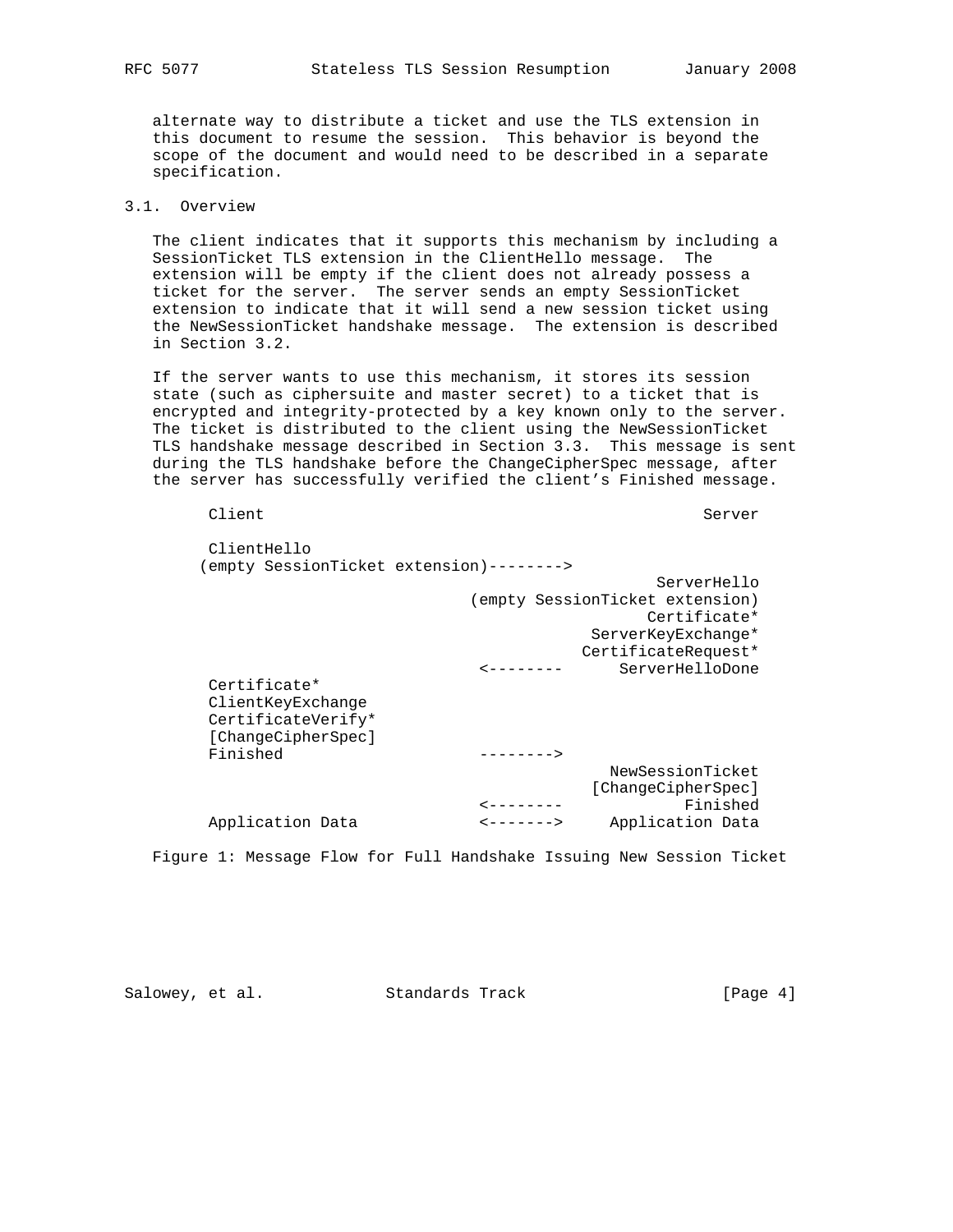alternate way to distribute a ticket and use the TLS extension in this document to resume the session. This behavior is beyond the scope of the document and would need to be described in a separate specification.

# 3.1. Overview

 The client indicates that it supports this mechanism by including a SessionTicket TLS extension in the ClientHello message. The extension will be empty if the client does not already possess a ticket for the server. The server sends an empty SessionTicket extension to indicate that it will send a new session ticket using the NewSessionTicket handshake message. The extension is described in Section 3.2.

 If the server wants to use this mechanism, it stores its session state (such as ciphersuite and master secret) to a ticket that is encrypted and integrity-protected by a key known only to the server. The ticket is distributed to the client using the NewSessionTicket TLS handshake message described in Section 3.3. This message is sent during the TLS handshake before the ChangeCipherSpec message, after the server has successfully verified the client's Finished message.

Client Server Server Server Server Server Server Server Server Server Server Server Server Server Server Server ClientHello (empty SessionTicket extension)--------> ServerHello (empty SessionTicket extension) Certificate\* ServerKeyExchange\* CertificateRequest\* <-------- ServerHelloDone Certificate\* ClientKeyExchange CertificateVerify\* [ChangeCipherSpec] Finished --------> NewSessionTicket [ChangeCipherSpec] <-------- Finished Application Data <-------> Application Data

Figure 1: Message Flow for Full Handshake Issuing New Session Ticket

Salowey, et al. Standards Track [Page 4]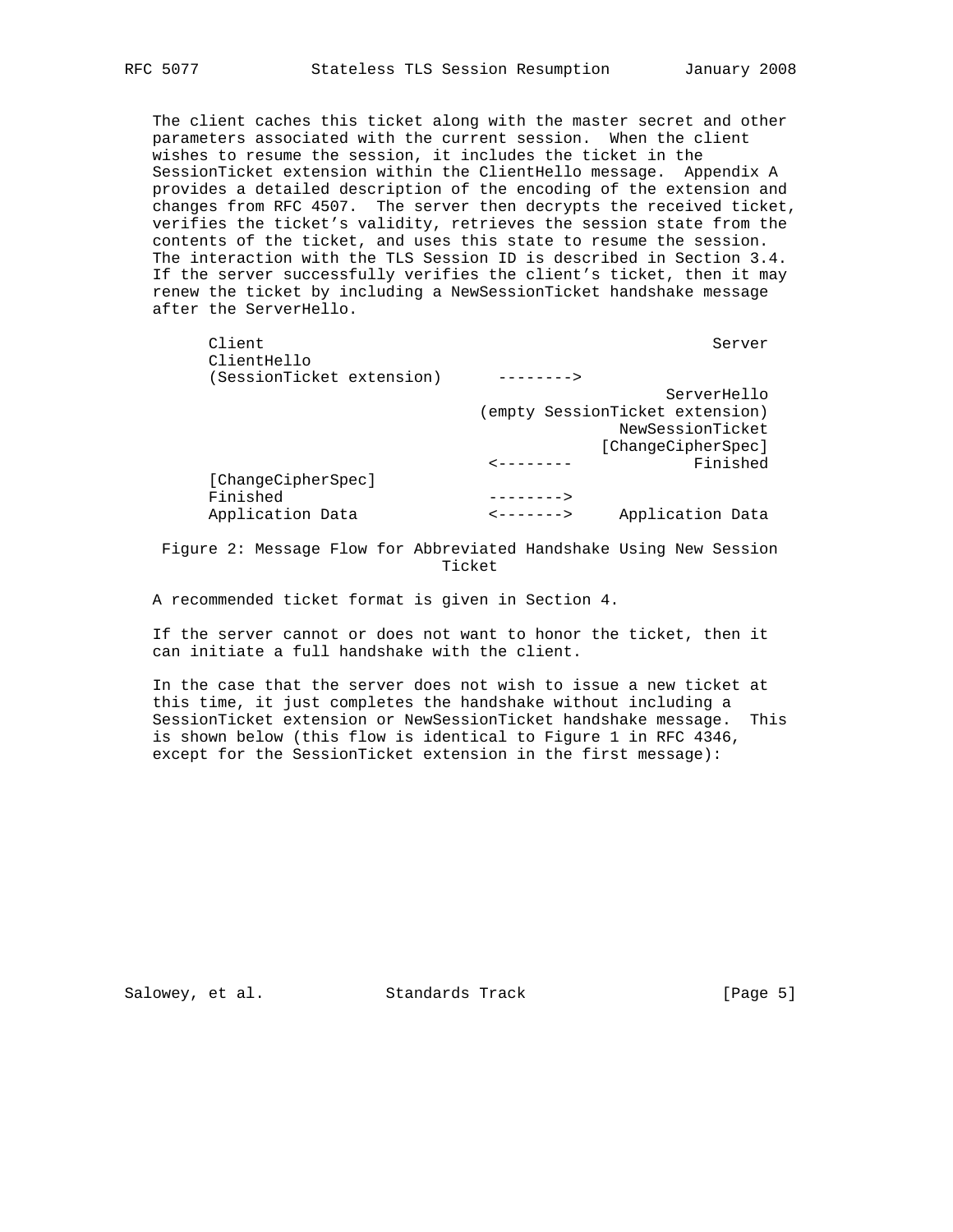The client caches this ticket along with the master secret and other parameters associated with the current session. When the client wishes to resume the session, it includes the ticket in the SessionTicket extension within the ClientHello message. Appendix A provides a detailed description of the encoding of the extension and changes from RFC 4507. The server then decrypts the received ticket, verifies the ticket's validity, retrieves the session state from the contents of the ticket, and uses this state to resume the session. The interaction with the TLS Session ID is described in Section 3.4. If the server successfully verifies the client's ticket, then it may renew the ticket by including a NewSessionTicket handshake message after the ServerHello.

|                                                                     | Server                          |
|---------------------------------------------------------------------|---------------------------------|
| -------->                                                           |                                 |
|                                                                     | ServerHello                     |
|                                                                     | (empty SessionTicket extension) |
|                                                                     | NewSessionTicket                |
|                                                                     | [ChangeCipherSpec]              |
|                                                                     | Finished                        |
|                                                                     |                                 |
| -------->                                                           |                                 |
| $--------$                                                          | Application Data                |
| (SessionTicket extension)<br>[ChangeCipherSpec]<br>Application Data |                                 |

 Figure 2: Message Flow for Abbreviated Handshake Using New Session Ticket

A recommended ticket format is given in Section 4.

 If the server cannot or does not want to honor the ticket, then it can initiate a full handshake with the client.

 In the case that the server does not wish to issue a new ticket at this time, it just completes the handshake without including a SessionTicket extension or NewSessionTicket handshake message. This is shown below (this flow is identical to Figure 1 in RFC 4346, except for the SessionTicket extension in the first message):

Salowey, et al. Standards Track [Page 5]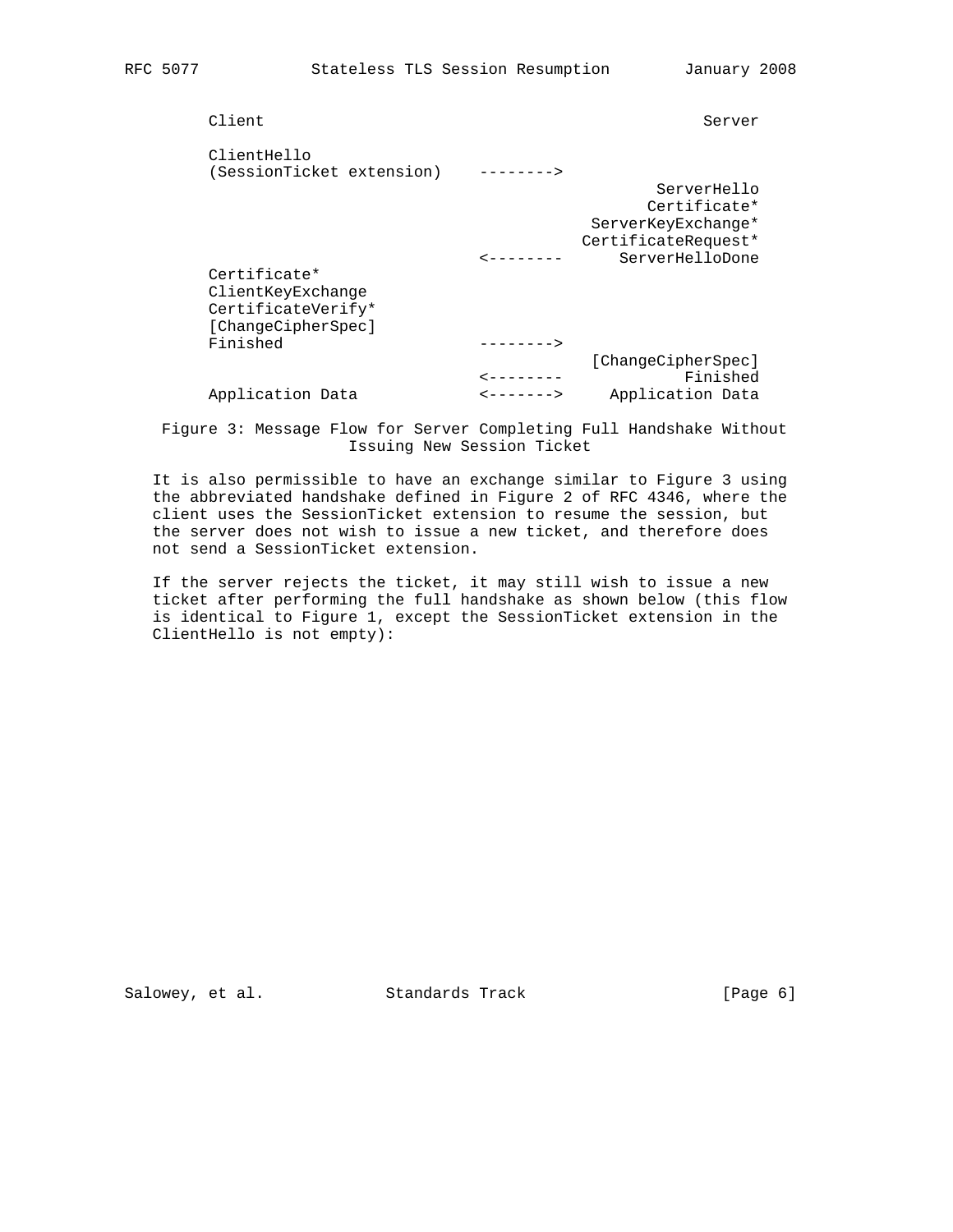| Client                                   |                   | Server                         |
|------------------------------------------|-------------------|--------------------------------|
| ClientHello<br>(SessionTicket extension) |                   |                                |
|                                          |                   | ServerHello                    |
|                                          |                   | Certificate*                   |
|                                          |                   | ServerKeyExchange*             |
|                                          |                   | CertificateRequest*            |
|                                          |                   | ServerHelloDone                |
| Certificate*                             |                   |                                |
| ClientKeyExchange                        |                   |                                |
| CertificateVerify*                       |                   |                                |
| [ChangeCipherSpec]                       |                   |                                |
| Finished                                 | $-------->$       |                                |
|                                          |                   | [ChangeCipherSpec]<br>Finished |
| Application Data                         | $- - - - - - - >$ | Application Data               |
|                                          |                   |                                |

 Figure 3: Message Flow for Server Completing Full Handshake Without Issuing New Session Ticket

 It is also permissible to have an exchange similar to Figure 3 using the abbreviated handshake defined in Figure 2 of RFC 4346, where the client uses the SessionTicket extension to resume the session, but the server does not wish to issue a new ticket, and therefore does not send a SessionTicket extension.

 If the server rejects the ticket, it may still wish to issue a new ticket after performing the full handshake as shown below (this flow is identical to Figure 1, except the SessionTicket extension in the ClientHello is not empty):

Salowey, et al. Standards Track [Page 6]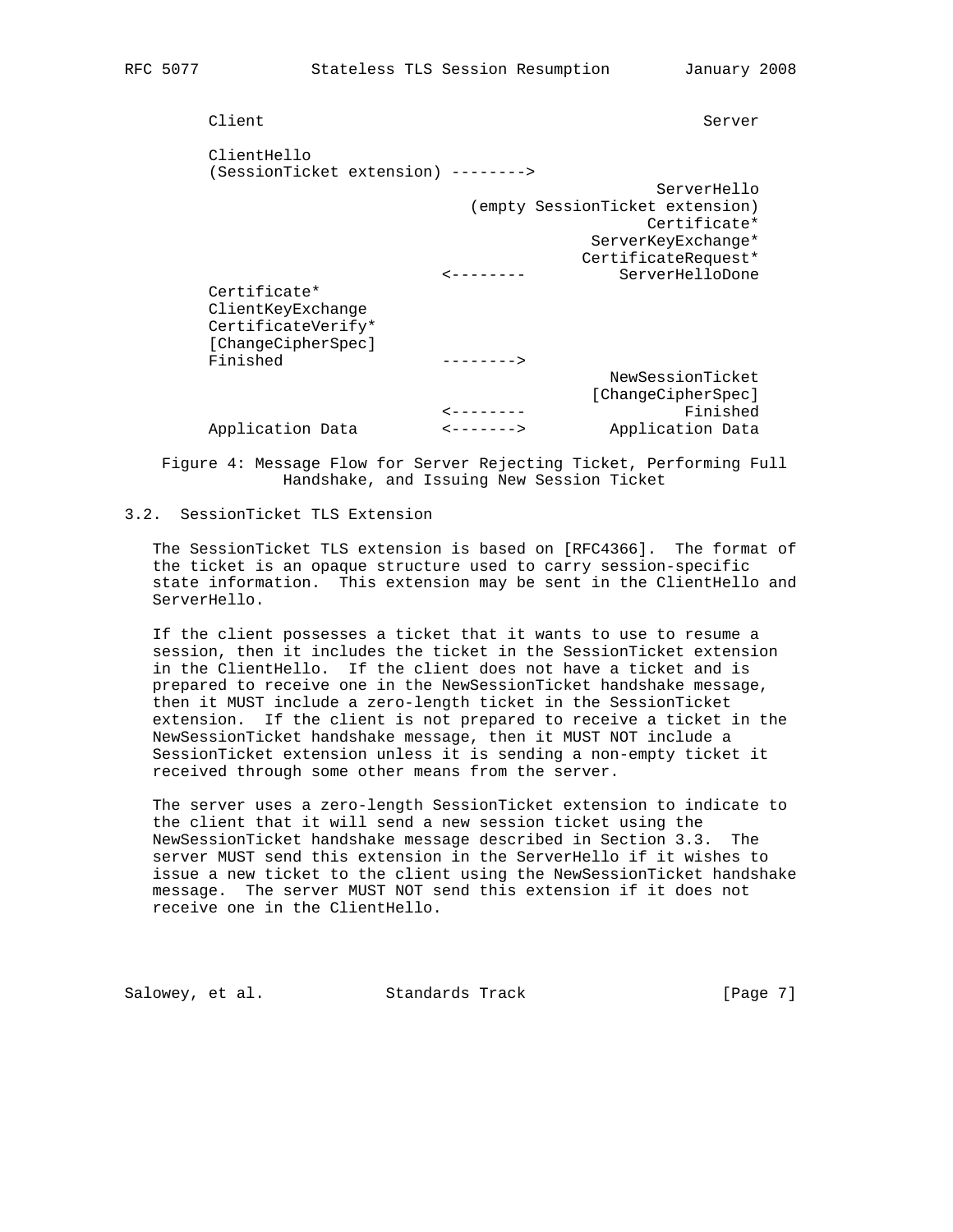| Client                                                                        |                              | Server                                                                |
|-------------------------------------------------------------------------------|------------------------------|-----------------------------------------------------------------------|
| ClientHello<br>(SessionTicket extension) -------->                            |                              |                                                                       |
|                                                                               |                              | ServerHello                                                           |
|                                                                               |                              | (empty SessionTicket extension)<br>Certificate*<br>ServerKeyExchange* |
|                                                                               |                              | CertificateRequest*                                                   |
|                                                                               | - - - - - - -                | ServerHelloDone                                                       |
| Certificate*<br>ClientKeyExchange<br>CertificateVerify*<br>[ChangeCipherSpec] |                              |                                                                       |
| Finished                                                                      | -------->                    |                                                                       |
|                                                                               | -------                      | NewSessionTicket<br>[ChangeCipherSpec]<br>Finished                    |
| Application Data                                                              | $\leftarrow$ – – – – – – – – | Application Data                                                      |

 Figure 4: Message Flow for Server Rejecting Ticket, Performing Full Handshake, and Issuing New Session Ticket

# 3.2. SessionTicket TLS Extension

 The SessionTicket TLS extension is based on [RFC4366]. The format of the ticket is an opaque structure used to carry session-specific state information. This extension may be sent in the ClientHello and ServerHello.

 If the client possesses a ticket that it wants to use to resume a session, then it includes the ticket in the SessionTicket extension in the ClientHello. If the client does not have a ticket and is prepared to receive one in the NewSessionTicket handshake message, then it MUST include a zero-length ticket in the SessionTicket extension. If the client is not prepared to receive a ticket in the NewSessionTicket handshake message, then it MUST NOT include a SessionTicket extension unless it is sending a non-empty ticket it received through some other means from the server.

 The server uses a zero-length SessionTicket extension to indicate to the client that it will send a new session ticket using the NewSessionTicket handshake message described in Section 3.3. The server MUST send this extension in the ServerHello if it wishes to issue a new ticket to the client using the NewSessionTicket handshake message. The server MUST NOT send this extension if it does not receive one in the ClientHello.

Salowey, et al. Standards Track [Page 7]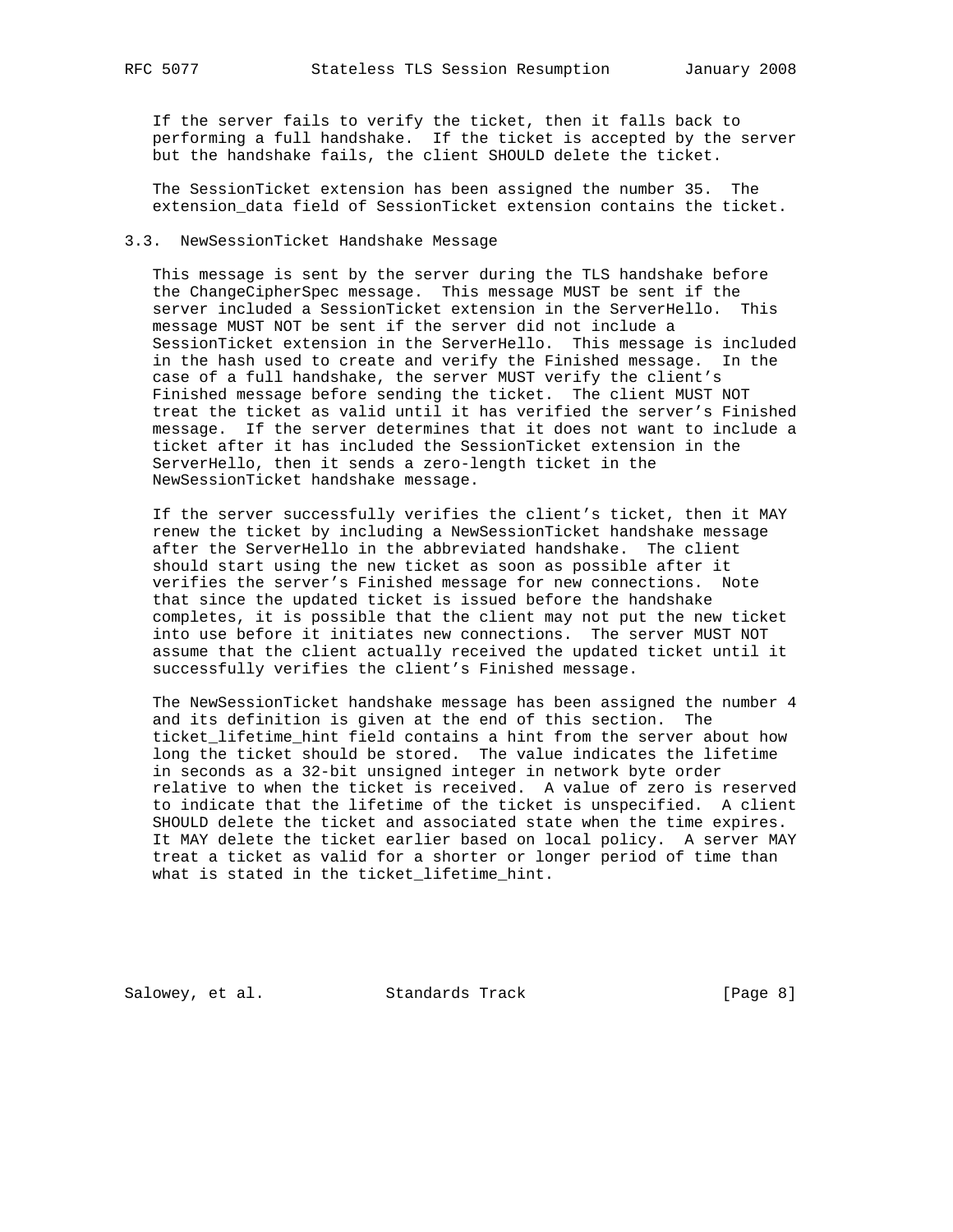If the server fails to verify the ticket, then it falls back to performing a full handshake. If the ticket is accepted by the server but the handshake fails, the client SHOULD delete the ticket.

 The SessionTicket extension has been assigned the number 35. The extension\_data field of SessionTicket extension contains the ticket.

## 3.3. NewSessionTicket Handshake Message

 This message is sent by the server during the TLS handshake before the ChangeCipherSpec message. This message MUST be sent if the server included a SessionTicket extension in the ServerHello. This message MUST NOT be sent if the server did not include a SessionTicket extension in the ServerHello. This message is included in the hash used to create and verify the Finished message. In the case of a full handshake, the server MUST verify the client's Finished message before sending the ticket. The client MUST NOT treat the ticket as valid until it has verified the server's Finished message. If the server determines that it does not want to include a ticket after it has included the SessionTicket extension in the ServerHello, then it sends a zero-length ticket in the NewSessionTicket handshake message.

 If the server successfully verifies the client's ticket, then it MAY renew the ticket by including a NewSessionTicket handshake message after the ServerHello in the abbreviated handshake. The client should start using the new ticket as soon as possible after it verifies the server's Finished message for new connections. Note that since the updated ticket is issued before the handshake completes, it is possible that the client may not put the new ticket into use before it initiates new connections. The server MUST NOT assume that the client actually received the updated ticket until it successfully verifies the client's Finished message.

 The NewSessionTicket handshake message has been assigned the number 4 and its definition is given at the end of this section. The ticket lifetime hint field contains a hint from the server about how long the ticket should be stored. The value indicates the lifetime in seconds as a 32-bit unsigned integer in network byte order relative to when the ticket is received. A value of zero is reserved to indicate that the lifetime of the ticket is unspecified. A client SHOULD delete the ticket and associated state when the time expires. It MAY delete the ticket earlier based on local policy. A server MAY treat a ticket as valid for a shorter or longer period of time than what is stated in the ticket\_lifetime\_hint.

Salowey, et al. Standards Track [Page 8]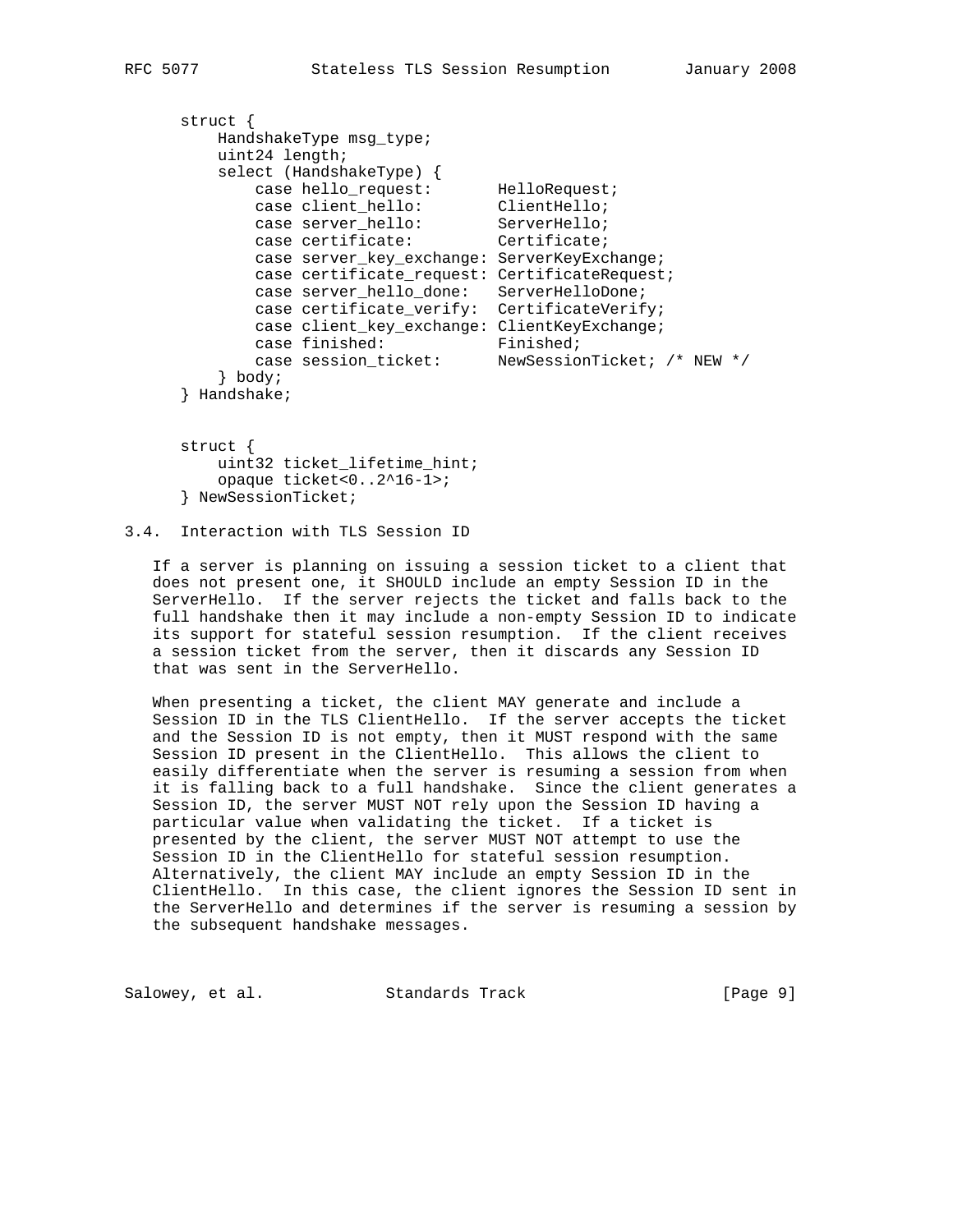```
 struct {
        HandshakeType msg_type;
         uint24 length;
         select (HandshakeType) {
case hello_request: HelloRequest;
case client_hello: ClientHello;
case server_hello: ServerHello;
case certificate: Certificate;
            case server_key_exchange: ServerKeyExchange;
            case certificate_request: CertificateRequest;
            case server_hello_done: ServerHelloDone;
            case certificate_verify: CertificateVerify;
            case client_key_exchange: ClientKeyExchange;
case finished: Finished;
 case session_ticket: NewSessionTicket; /* NEW */
         } body;
     } Handshake;
```
 struct { uint32 ticket\_lifetime\_hint; opaque ticket<0..2^16-1>; } NewSessionTicket;

# 3.4. Interaction with TLS Session ID

 If a server is planning on issuing a session ticket to a client that does not present one, it SHOULD include an empty Session ID in the ServerHello. If the server rejects the ticket and falls back to the full handshake then it may include a non-empty Session ID to indicate its support for stateful session resumption. If the client receives a session ticket from the server, then it discards any Session ID that was sent in the ServerHello.

 When presenting a ticket, the client MAY generate and include a Session ID in the TLS ClientHello. If the server accepts the ticket and the Session ID is not empty, then it MUST respond with the same Session ID present in the ClientHello. This allows the client to easily differentiate when the server is resuming a session from when it is falling back to a full handshake. Since the client generates a Session ID, the server MUST NOT rely upon the Session ID having a particular value when validating the ticket. If a ticket is presented by the client, the server MUST NOT attempt to use the Session ID in the ClientHello for stateful session resumption. Alternatively, the client MAY include an empty Session ID in the ClientHello. In this case, the client ignores the Session ID sent in the ServerHello and determines if the server is resuming a session by the subsequent handshake messages.

Salowey, et al. Standards Track [Page 9]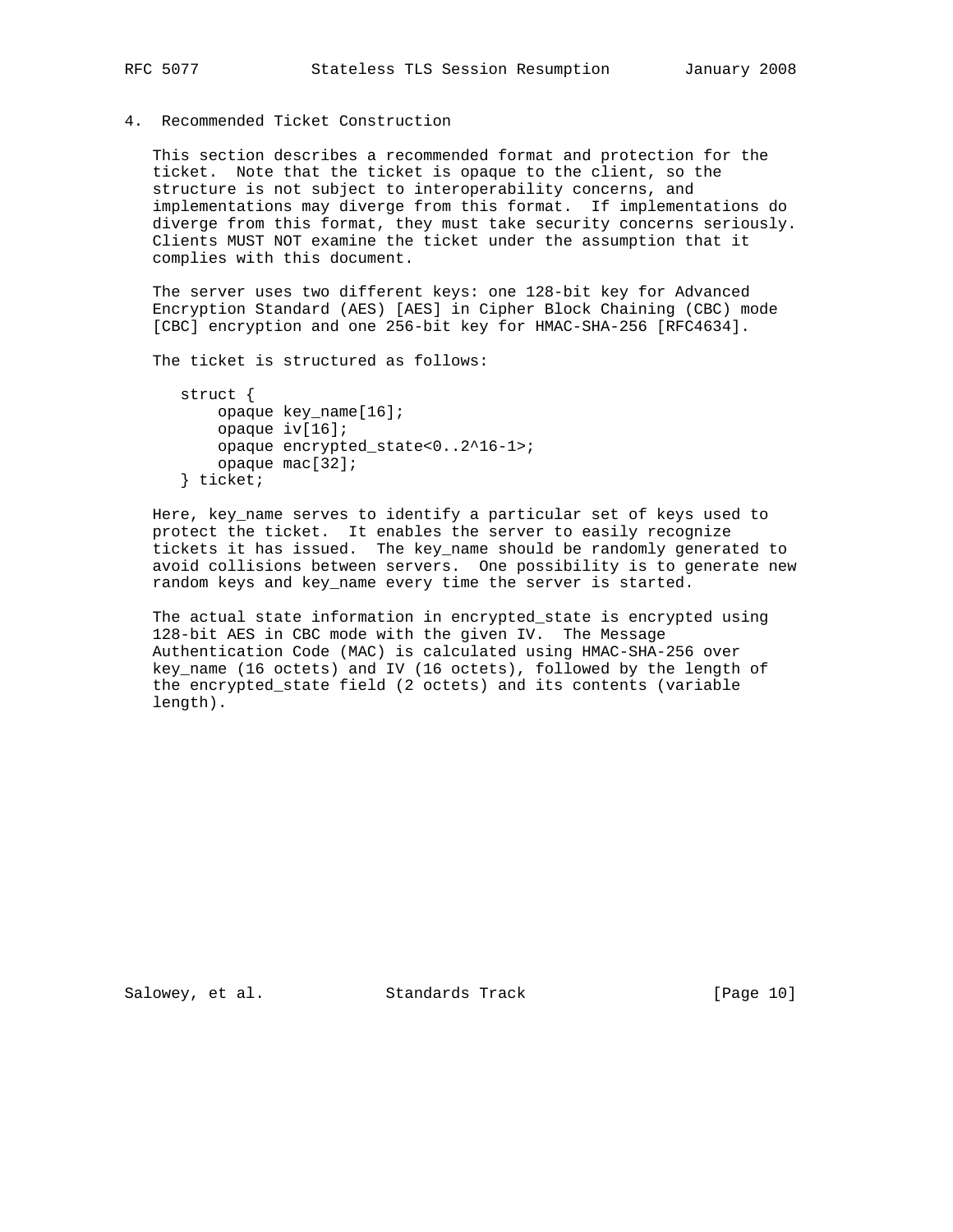4. Recommended Ticket Construction

 This section describes a recommended format and protection for the ticket. Note that the ticket is opaque to the client, so the structure is not subject to interoperability concerns, and implementations may diverge from this format. If implementations do diverge from this format, they must take security concerns seriously. Clients MUST NOT examine the ticket under the assumption that it complies with this document.

 The server uses two different keys: one 128-bit key for Advanced Encryption Standard (AES) [AES] in Cipher Block Chaining (CBC) mode [CBC] encryption and one 256-bit key for HMAC-SHA-256 [RFC4634].

The ticket is structured as follows:

```
 struct {
    opaque key_name[16];
     opaque iv[16];
     opaque encrypted_state<0..2^16-1>;
     opaque mac[32];
 } ticket;
```
 Here, key\_name serves to identify a particular set of keys used to protect the ticket. It enables the server to easily recognize tickets it has issued. The key\_name should be randomly generated to avoid collisions between servers. One possibility is to generate new random keys and key name every time the server is started.

 The actual state information in encrypted\_state is encrypted using 128-bit AES in CBC mode with the given IV. The Message Authentication Code (MAC) is calculated using HMAC-SHA-256 over key\_name (16 octets) and IV (16 octets), followed by the length of the encrypted\_state field (2 octets) and its contents (variable length).

Salowey, et al. Standards Track [Page 10]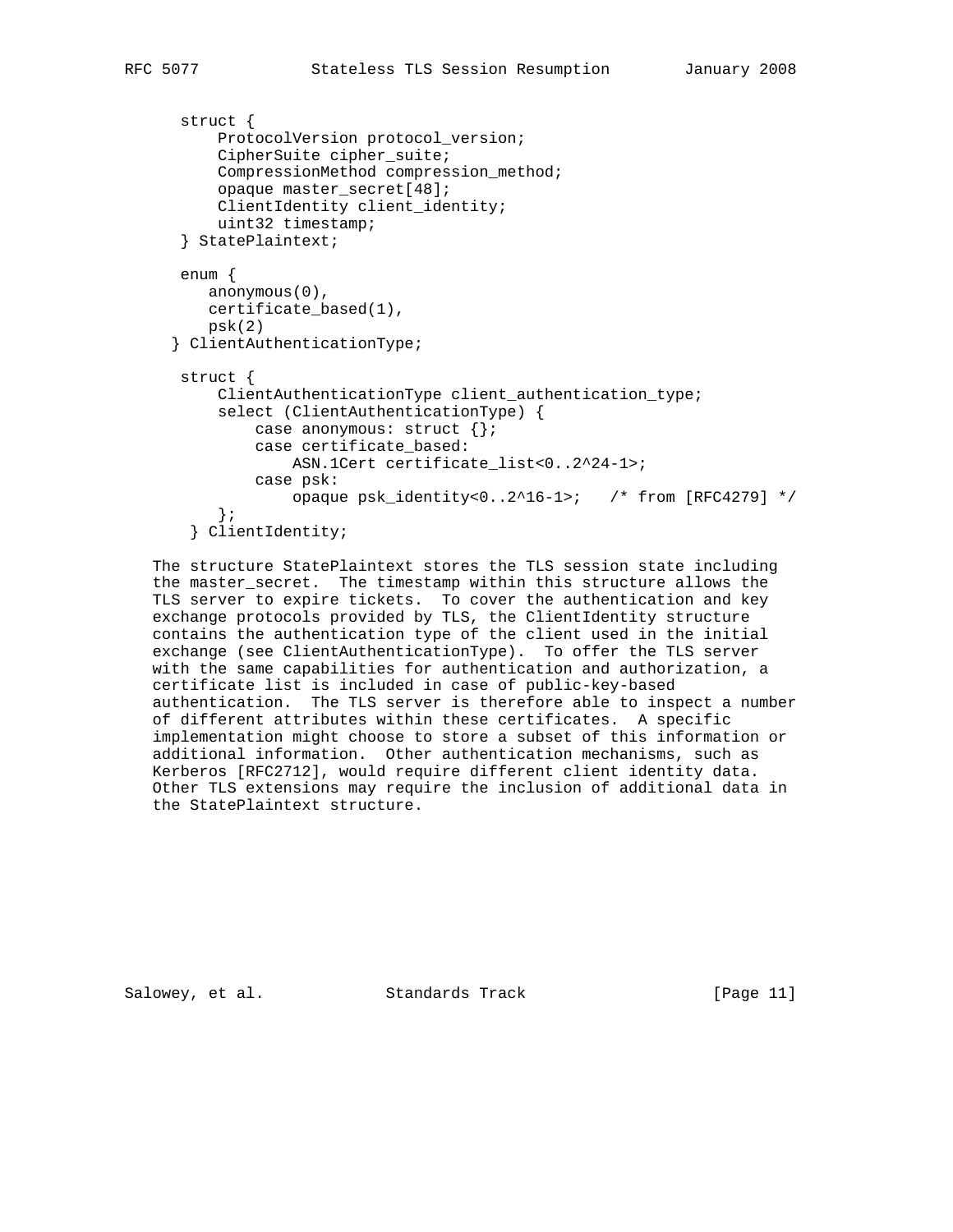```
 struct {
      ProtocolVersion protocol_version;
      CipherSuite cipher_suite;
      CompressionMethod compression_method;
      opaque master_secret[48];
      ClientIdentity client_identity;
     uint32 timestamp;
  } StatePlaintext;
 enum {
    anonymous(0),
    certificate_based(1),
    psk(2)
 } ClientAuthenticationType;
 struct {
      ClientAuthenticationType client_authentication_type;
      select (ClientAuthenticationType) {
          case anonymous: struct {};
          case certificate_based:
              ASN.1Cert certificate_list<0..2^24-1>;
          case psk:
              opaque psk_identity<0..2^16-1>; /* from [RFC4279] */
      };
   } ClientIdentity;
```
 The structure StatePlaintext stores the TLS session state including the master\_secret. The timestamp within this structure allows the TLS server to expire tickets. To cover the authentication and key exchange protocols provided by TLS, the ClientIdentity structure contains the authentication type of the client used in the initial exchange (see ClientAuthenticationType). To offer the TLS server with the same capabilities for authentication and authorization, a certificate list is included in case of public-key-based authentication. The TLS server is therefore able to inspect a number of different attributes within these certificates. A specific implementation might choose to store a subset of this information or additional information. Other authentication mechanisms, such as Kerberos [RFC2712], would require different client identity data. Other TLS extensions may require the inclusion of additional data in the StatePlaintext structure.

Salowey, et al. Standards Track [Page 11]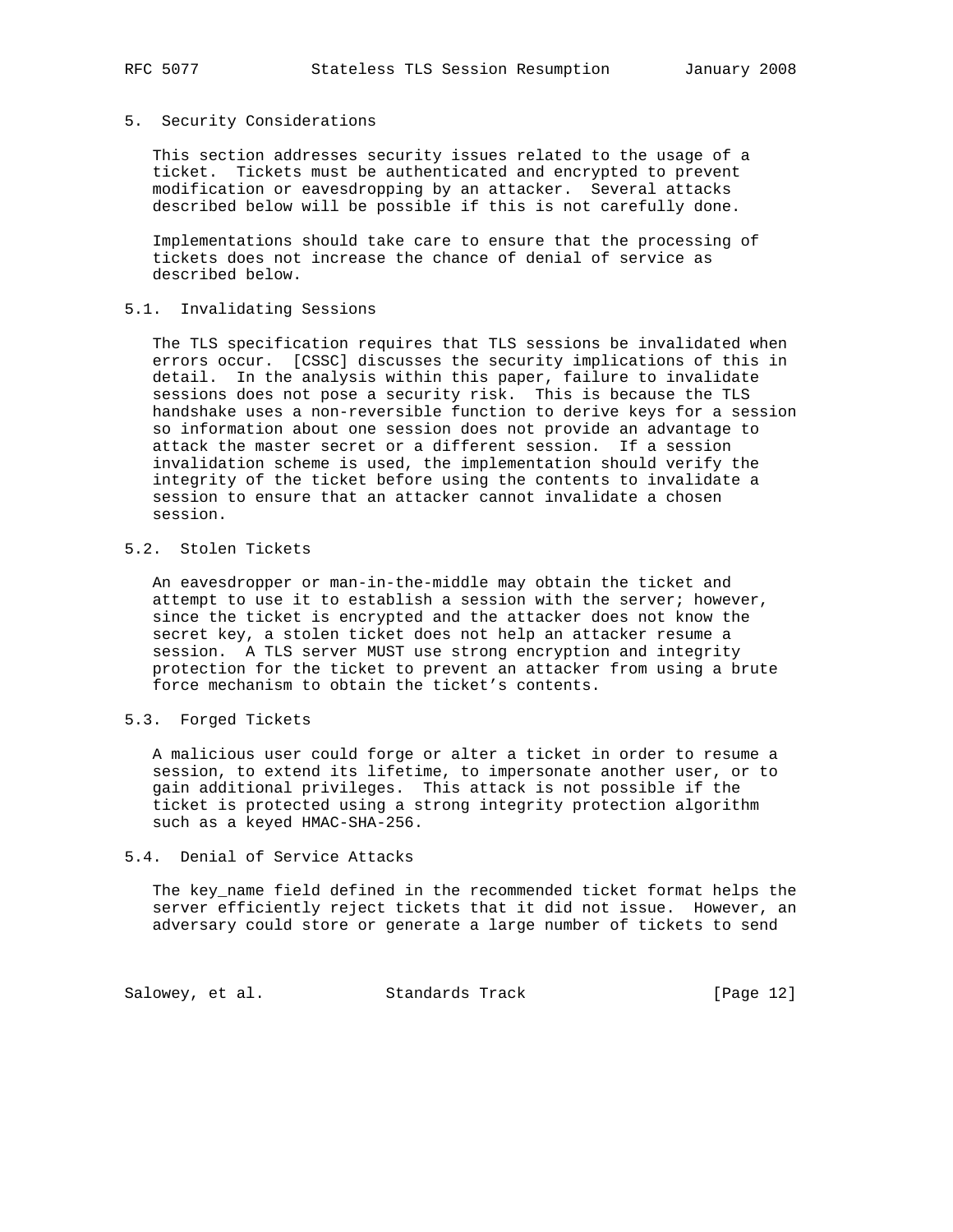#### 5. Security Considerations

 This section addresses security issues related to the usage of a ticket. Tickets must be authenticated and encrypted to prevent modification or eavesdropping by an attacker. Several attacks described below will be possible if this is not carefully done.

 Implementations should take care to ensure that the processing of tickets does not increase the chance of denial of service as described below.

## 5.1. Invalidating Sessions

 The TLS specification requires that TLS sessions be invalidated when errors occur. [CSSC] discusses the security implications of this in detail. In the analysis within this paper, failure to invalidate sessions does not pose a security risk. This is because the TLS handshake uses a non-reversible function to derive keys for a session so information about one session does not provide an advantage to attack the master secret or a different session. If a session invalidation scheme is used, the implementation should verify the integrity of the ticket before using the contents to invalidate a session to ensure that an attacker cannot invalidate a chosen session.

# 5.2. Stolen Tickets

 An eavesdropper or man-in-the-middle may obtain the ticket and attempt to use it to establish a session with the server; however, since the ticket is encrypted and the attacker does not know the secret key, a stolen ticket does not help an attacker resume a session. A TLS server MUST use strong encryption and integrity protection for the ticket to prevent an attacker from using a brute force mechanism to obtain the ticket's contents.

## 5.3. Forged Tickets

 A malicious user could forge or alter a ticket in order to resume a session, to extend its lifetime, to impersonate another user, or to gain additional privileges. This attack is not possible if the ticket is protected using a strong integrity protection algorithm such as a keyed HMAC-SHA-256.

## 5.4. Denial of Service Attacks

 The key\_name field defined in the recommended ticket format helps the server efficiently reject tickets that it did not issue. However, an adversary could store or generate a large number of tickets to send

Salowey, et al. Standards Track [Page 12]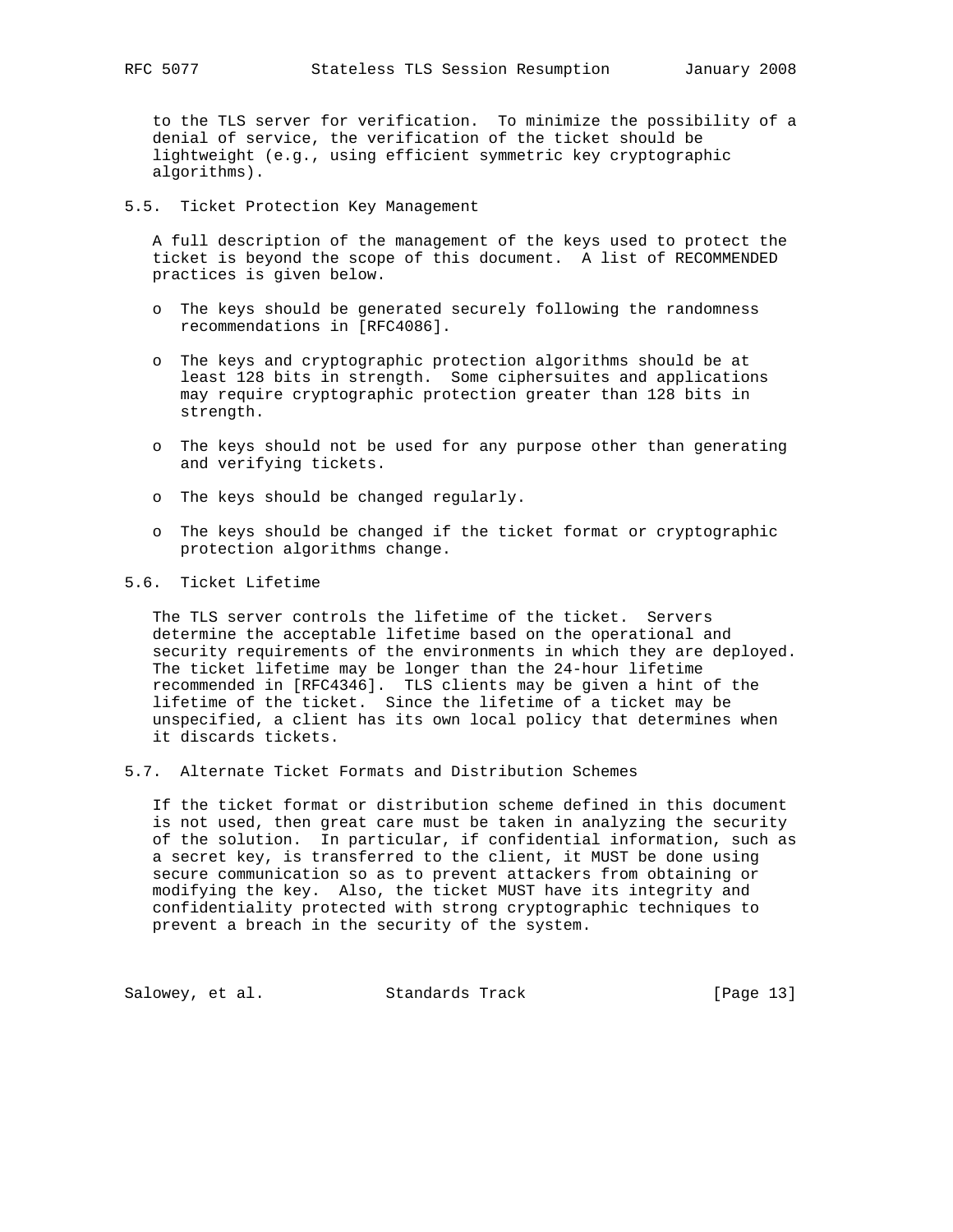to the TLS server for verification. To minimize the possibility of a denial of service, the verification of the ticket should be lightweight (e.g., using efficient symmetric key cryptographic algorithms).

5.5. Ticket Protection Key Management

 A full description of the management of the keys used to protect the ticket is beyond the scope of this document. A list of RECOMMENDED practices is given below.

- o The keys should be generated securely following the randomness recommendations in [RFC4086].
- o The keys and cryptographic protection algorithms should be at least 128 bits in strength. Some ciphersuites and applications may require cryptographic protection greater than 128 bits in strength.
- o The keys should not be used for any purpose other than generating and verifying tickets.
- o The keys should be changed regularly.
- o The keys should be changed if the ticket format or cryptographic protection algorithms change.

## 5.6. Ticket Lifetime

 The TLS server controls the lifetime of the ticket. Servers determine the acceptable lifetime based on the operational and security requirements of the environments in which they are deployed. The ticket lifetime may be longer than the 24-hour lifetime recommended in [RFC4346]. TLS clients may be given a hint of the lifetime of the ticket. Since the lifetime of a ticket may be unspecified, a client has its own local policy that determines when it discards tickets.

5.7. Alternate Ticket Formats and Distribution Schemes

 If the ticket format or distribution scheme defined in this document is not used, then great care must be taken in analyzing the security of the solution. In particular, if confidential information, such as a secret key, is transferred to the client, it MUST be done using secure communication so as to prevent attackers from obtaining or modifying the key. Also, the ticket MUST have its integrity and confidentiality protected with strong cryptographic techniques to prevent a breach in the security of the system.

Salowey, et al. Standards Track [Page 13]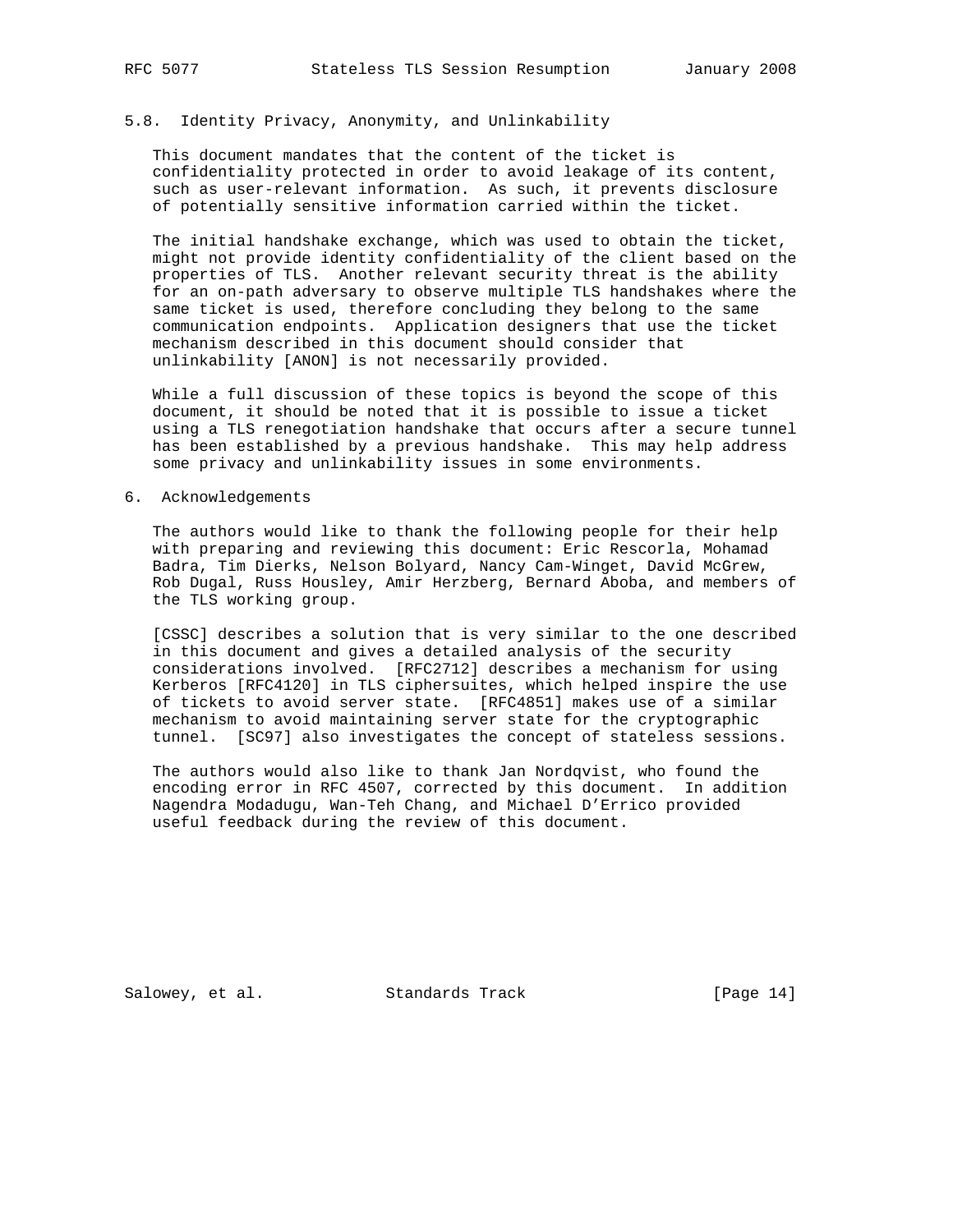# 5.8. Identity Privacy, Anonymity, and Unlinkability

 This document mandates that the content of the ticket is confidentiality protected in order to avoid leakage of its content, such as user-relevant information. As such, it prevents disclosure of potentially sensitive information carried within the ticket.

 The initial handshake exchange, which was used to obtain the ticket, might not provide identity confidentiality of the client based on the properties of TLS. Another relevant security threat is the ability for an on-path adversary to observe multiple TLS handshakes where the same ticket is used, therefore concluding they belong to the same communication endpoints. Application designers that use the ticket mechanism described in this document should consider that unlinkability [ANON] is not necessarily provided.

 While a full discussion of these topics is beyond the scope of this document, it should be noted that it is possible to issue a ticket using a TLS renegotiation handshake that occurs after a secure tunnel has been established by a previous handshake. This may help address some privacy and unlinkability issues in some environments.

## 6. Acknowledgements

 The authors would like to thank the following people for their help with preparing and reviewing this document: Eric Rescorla, Mohamad Badra, Tim Dierks, Nelson Bolyard, Nancy Cam-Winget, David McGrew, Rob Dugal, Russ Housley, Amir Herzberg, Bernard Aboba, and members of the TLS working group.

 [CSSC] describes a solution that is very similar to the one described in this document and gives a detailed analysis of the security considerations involved. [RFC2712] describes a mechanism for using Kerberos [RFC4120] in TLS ciphersuites, which helped inspire the use of tickets to avoid server state. [RFC4851] makes use of a similar mechanism to avoid maintaining server state for the cryptographic tunnel. [SC97] also investigates the concept of stateless sessions.

 The authors would also like to thank Jan Nordqvist, who found the encoding error in RFC 4507, corrected by this document. In addition Nagendra Modadugu, Wan-Teh Chang, and Michael D'Errico provided useful feedback during the review of this document.

Salowey, et al. Standards Track [Page 14]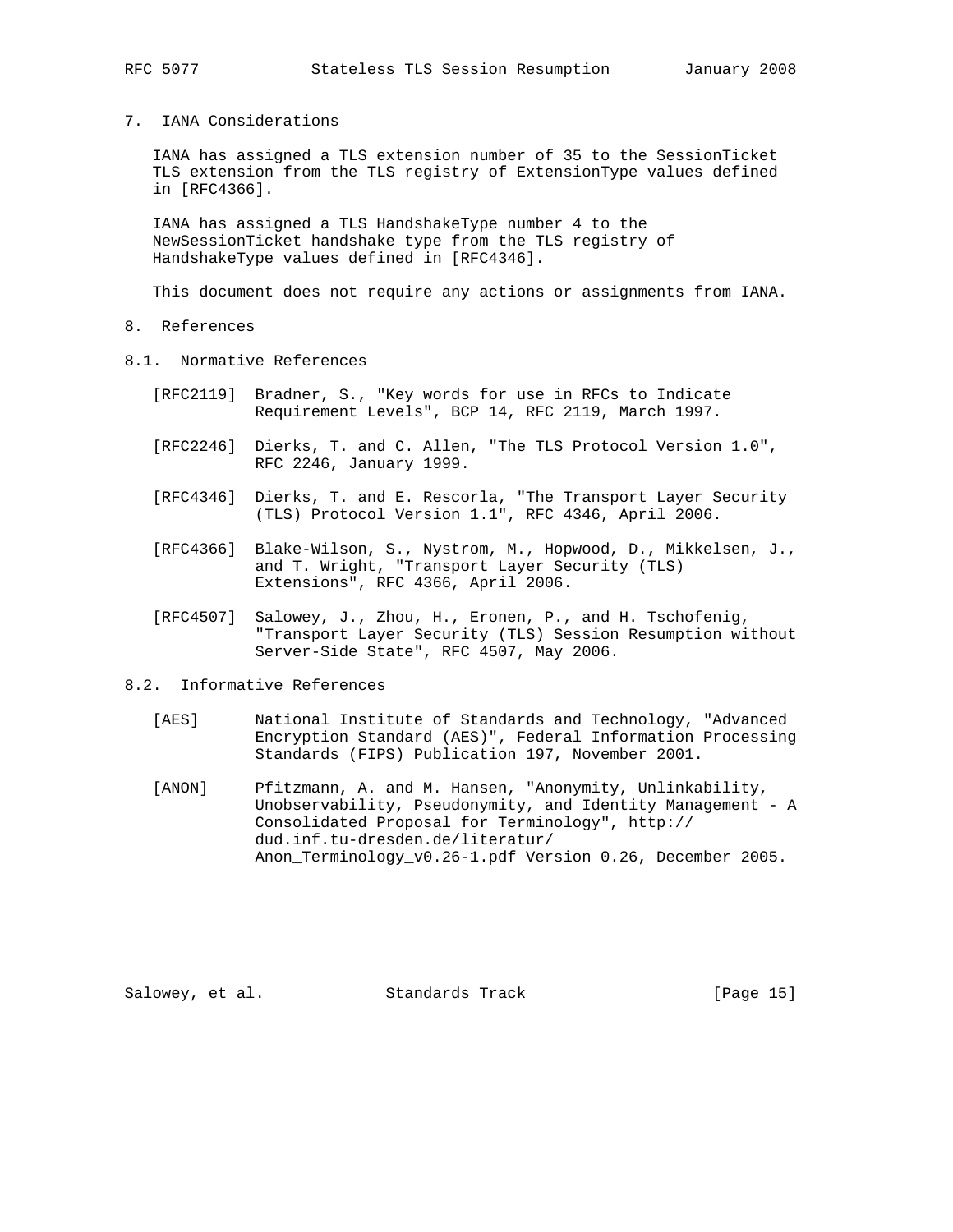## 7. IANA Considerations

 IANA has assigned a TLS extension number of 35 to the SessionTicket TLS extension from the TLS registry of ExtensionType values defined in [RFC4366].

 IANA has assigned a TLS HandshakeType number 4 to the NewSessionTicket handshake type from the TLS registry of HandshakeType values defined in [RFC4346].

This document does not require any actions or assignments from IANA.

- 8. References
- 8.1. Normative References
	- [RFC2119] Bradner, S., "Key words for use in RFCs to Indicate Requirement Levels", BCP 14, RFC 2119, March 1997.
	- [RFC2246] Dierks, T. and C. Allen, "The TLS Protocol Version 1.0", RFC 2246, January 1999.
	- [RFC4346] Dierks, T. and E. Rescorla, "The Transport Layer Security (TLS) Protocol Version 1.1", RFC 4346, April 2006.
	- [RFC4366] Blake-Wilson, S., Nystrom, M., Hopwood, D., Mikkelsen, J., and T. Wright, "Transport Layer Security (TLS) Extensions", RFC 4366, April 2006.
	- [RFC4507] Salowey, J., Zhou, H., Eronen, P., and H. Tschofenig, "Transport Layer Security (TLS) Session Resumption without Server-Side State", RFC 4507, May 2006.

## 8.2. Informative References

- [AES] National Institute of Standards and Technology, "Advanced Encryption Standard (AES)", Federal Information Processing Standards (FIPS) Publication 197, November 2001.
- [ANON] Pfitzmann, A. and M. Hansen, "Anonymity, Unlinkability, Unobservability, Pseudonymity, and Identity Management - A Consolidated Proposal for Terminology", http:// dud.inf.tu-dresden.de/literatur/ Anon\_Terminology\_v0.26-1.pdf Version 0.26, December 2005.

Salowey, et al. Standards Track [Page 15]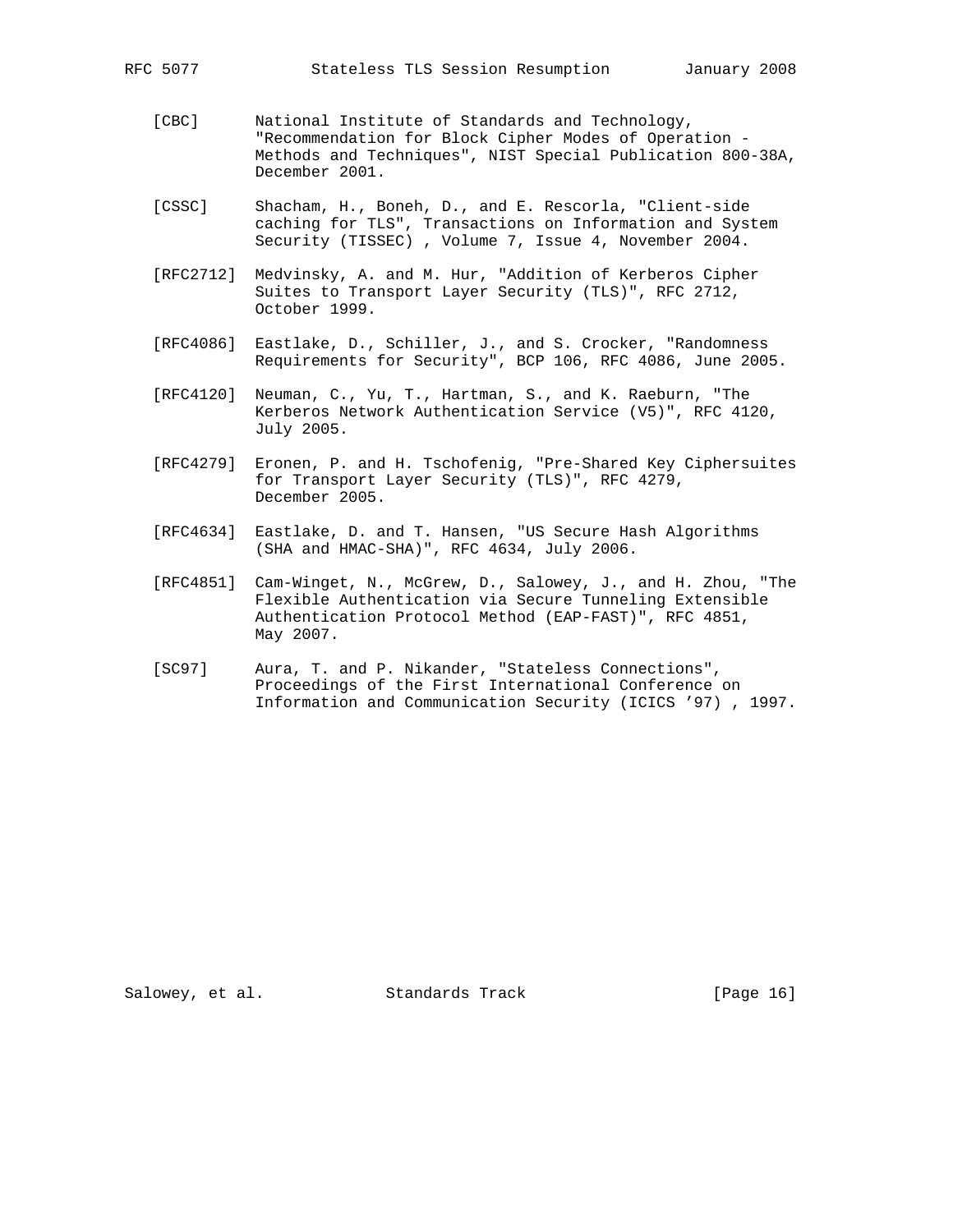- [CBC] National Institute of Standards and Technology, "Recommendation for Block Cipher Modes of Operation - Methods and Techniques", NIST Special Publication 800-38A, December 2001.
- [CSSC] Shacham, H., Boneh, D., and E. Rescorla, "Client-side caching for TLS", Transactions on Information and System Security (TISSEC) , Volume 7, Issue 4, November 2004.
- [RFC2712] Medvinsky, A. and M. Hur, "Addition of Kerberos Cipher Suites to Transport Layer Security (TLS)", RFC 2712, October 1999.
- [RFC4086] Eastlake, D., Schiller, J., and S. Crocker, "Randomness Requirements for Security", BCP 106, RFC 4086, June 2005.
- [RFC4120] Neuman, C., Yu, T., Hartman, S., and K. Raeburn, "The Kerberos Network Authentication Service (V5)", RFC 4120, July 2005.
- [RFC4279] Eronen, P. and H. Tschofenig, "Pre-Shared Key Ciphersuites for Transport Layer Security (TLS)", RFC 4279, December 2005.
- [RFC4634] Eastlake, D. and T. Hansen, "US Secure Hash Algorithms (SHA and HMAC-SHA)", RFC 4634, July 2006.
- [RFC4851] Cam-Winget, N., McGrew, D., Salowey, J., and H. Zhou, "The Flexible Authentication via Secure Tunneling Extensible Authentication Protocol Method (EAP-FAST)", RFC 4851, May 2007.
- [SC97] Aura, T. and P. Nikander, "Stateless Connections", Proceedings of the First International Conference on Information and Communication Security (ICICS '97) , 1997.

Salowey, et al. Standards Track [Page 16]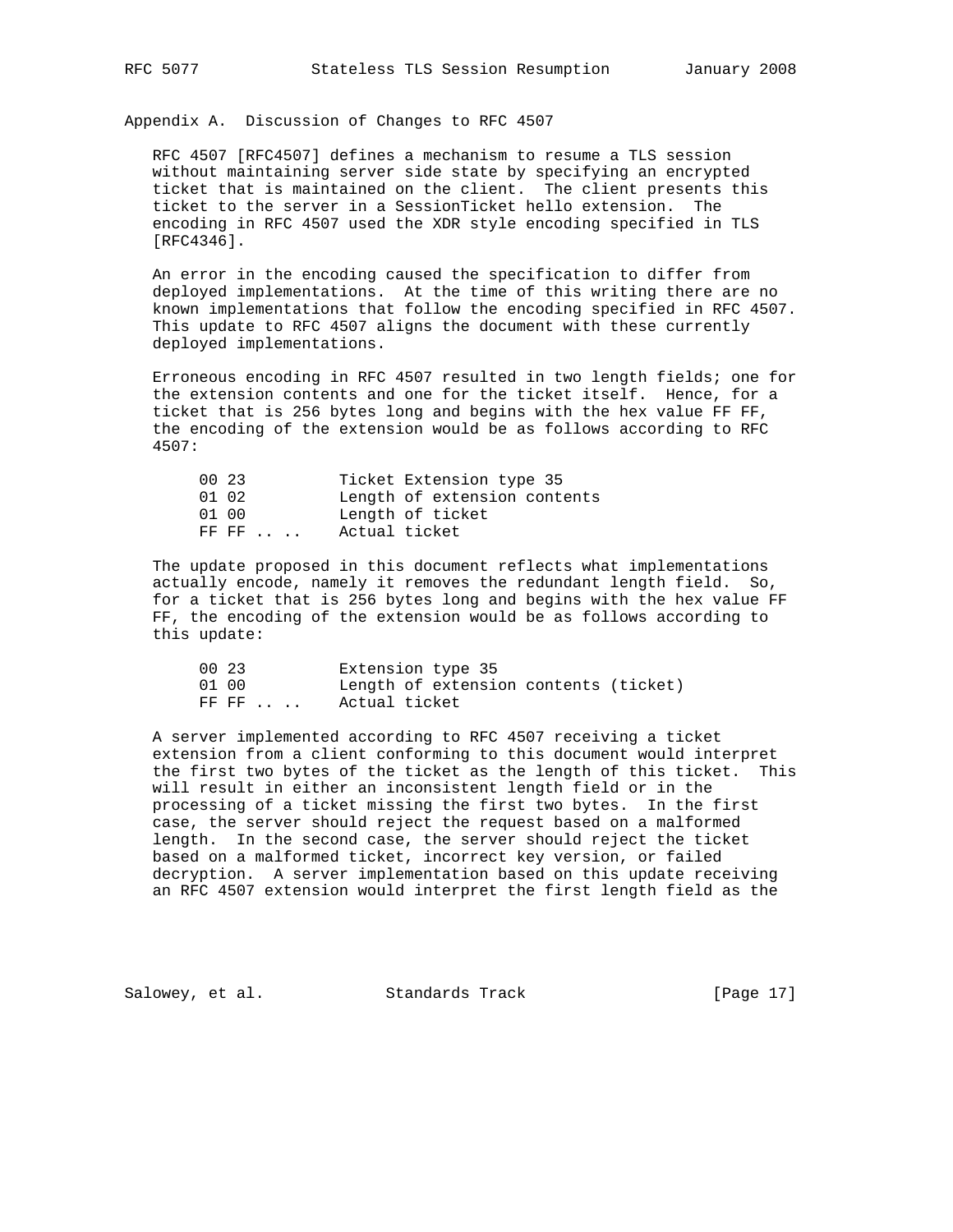Appendix A. Discussion of Changes to RFC 4507

 RFC 4507 [RFC4507] defines a mechanism to resume a TLS session without maintaining server side state by specifying an encrypted ticket that is maintained on the client. The client presents this ticket to the server in a SessionTicket hello extension. The encoding in RFC 4507 used the XDR style encoding specified in TLS [RFC4346].

 An error in the encoding caused the specification to differ from deployed implementations. At the time of this writing there are no known implementations that follow the encoding specified in RFC 4507. This update to RFC 4507 aligns the document with these currently deployed implementations.

 Erroneous encoding in RFC 4507 resulted in two length fields; one for the extension contents and one for the ticket itself. Hence, for a ticket that is 256 bytes long and begins with the hex value FF FF, the encoding of the extension would be as follows according to RFC 4507:

| 00 23 |                                              | Ticket Extension type 35     |
|-------|----------------------------------------------|------------------------------|
| 01 02 |                                              | Length of extension contents |
| 01 00 |                                              | Length of ticket             |
|       | Actual ticket<br>$FF$ $FF$ $\ldots$ $\ldots$ |                              |

 The update proposed in this document reflects what implementations actually encode, namely it removes the redundant length field. So, for a ticket that is 256 bytes long and begins with the hex value FF FF, the encoding of the extension would be as follows according to this update:

| 00 23                       | Extension type 35                     |
|-----------------------------|---------------------------------------|
| 01 00                       | Length of extension contents (ticket) |
| $FF$ $FF$ $\ldots$ $\ldots$ | Actual ticket                         |

 A server implemented according to RFC 4507 receiving a ticket extension from a client conforming to this document would interpret the first two bytes of the ticket as the length of this ticket. This will result in either an inconsistent length field or in the processing of a ticket missing the first two bytes. In the first case, the server should reject the request based on a malformed length. In the second case, the server should reject the ticket based on a malformed ticket, incorrect key version, or failed decryption. A server implementation based on this update receiving an RFC 4507 extension would interpret the first length field as the

Salowey, et al. Standards Track [Page 17]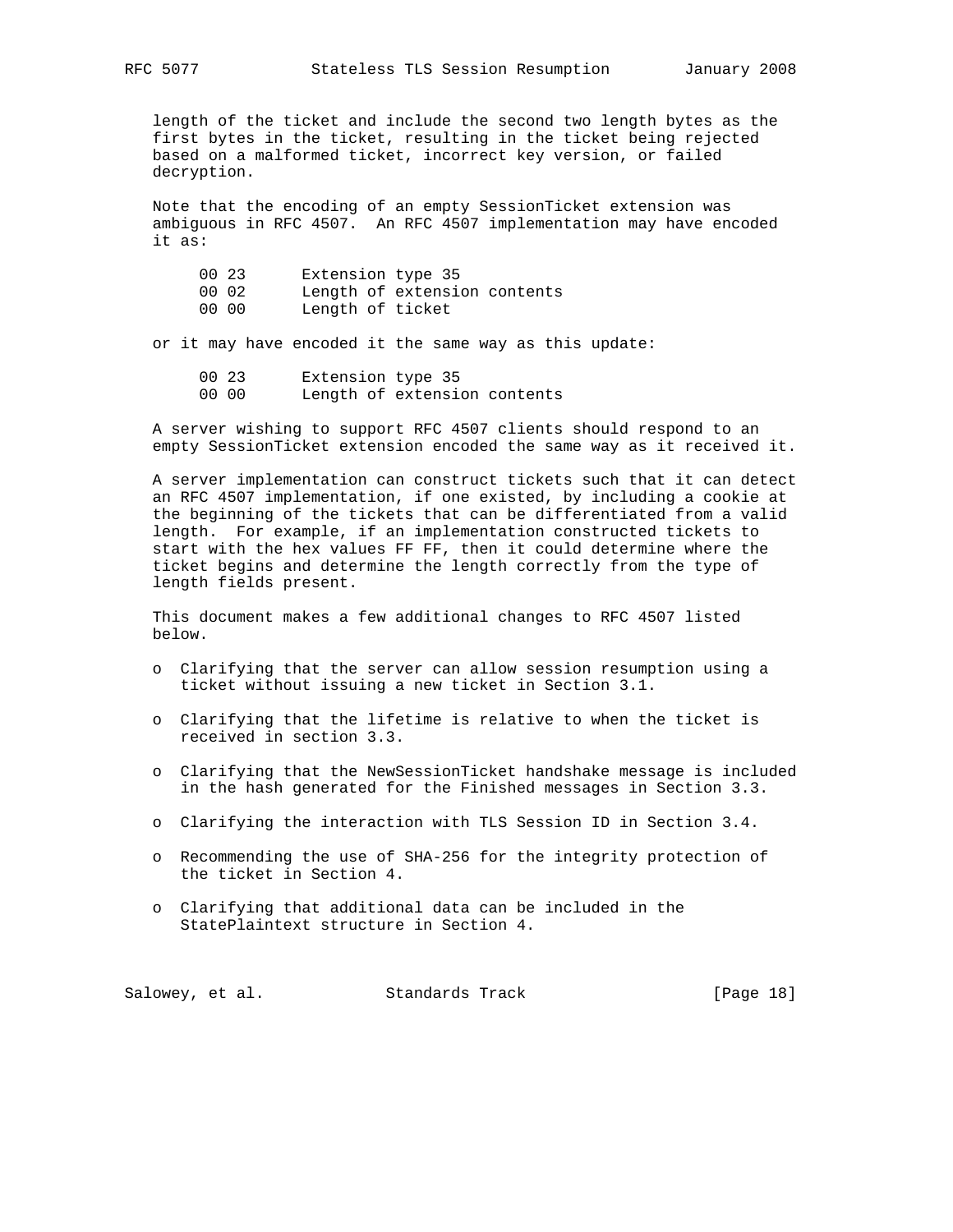length of the ticket and include the second two length bytes as the first bytes in the ticket, resulting in the ticket being rejected based on a malformed ticket, incorrect key version, or failed decryption.

 Note that the encoding of an empty SessionTicket extension was ambiguous in RFC 4507. An RFC 4507 implementation may have encoded it as:

| 00 23<br>00 02<br>00 00 | Extension type 35<br>Length of ticket | Length of extension contents |  |
|-------------------------|---------------------------------------|------------------------------|--|
|-------------------------|---------------------------------------|------------------------------|--|

or it may have encoded it the same way as this update:

 00 23 Extension type 35 00 00 Length of extension contents

 A server wishing to support RFC 4507 clients should respond to an empty SessionTicket extension encoded the same way as it received it.

 A server implementation can construct tickets such that it can detect an RFC 4507 implementation, if one existed, by including a cookie at the beginning of the tickets that can be differentiated from a valid length. For example, if an implementation constructed tickets to start with the hex values FF FF, then it could determine where the ticket begins and determine the length correctly from the type of length fields present.

 This document makes a few additional changes to RFC 4507 listed below.

- o Clarifying that the server can allow session resumption using a ticket without issuing a new ticket in Section 3.1.
- o Clarifying that the lifetime is relative to when the ticket is received in section 3.3.
- o Clarifying that the NewSessionTicket handshake message is included in the hash generated for the Finished messages in Section 3.3.
- o Clarifying the interaction with TLS Session ID in Section 3.4.
- o Recommending the use of SHA-256 for the integrity protection of the ticket in Section 4.
- o Clarifying that additional data can be included in the StatePlaintext structure in Section 4.

Salowey, et al. Standards Track [Page 18]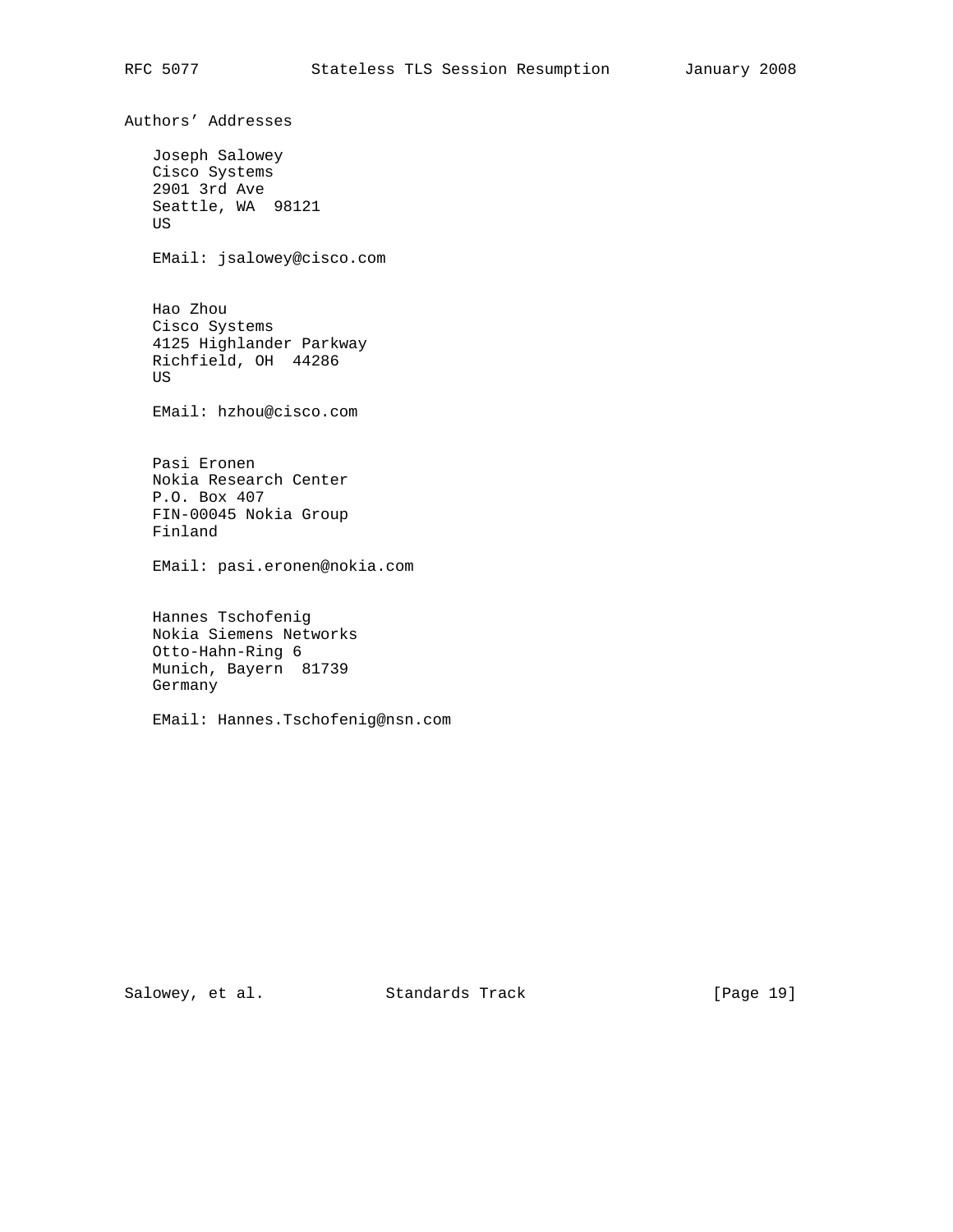Authors' Addresses Joseph Salowey Cisco Systems 2901 3rd Ave Seattle, WA 98121 US EMail: jsalowey@cisco.com Hao Zhou Cisco Systems 4125 Highlander Parkway Richfield, OH 44286 US EMail: hzhou@cisco.com Pasi Eronen Nokia Research Center P.O. Box 407 FIN-00045 Nokia Group Finland EMail: pasi.eronen@nokia.com Hannes Tschofenig Nokia Siemens Networks Otto-Hahn-Ring 6 Munich, Bayern 81739 Germany EMail: Hannes.Tschofenig@nsn.com

Salowey, et al. Standards Track [Page 19]